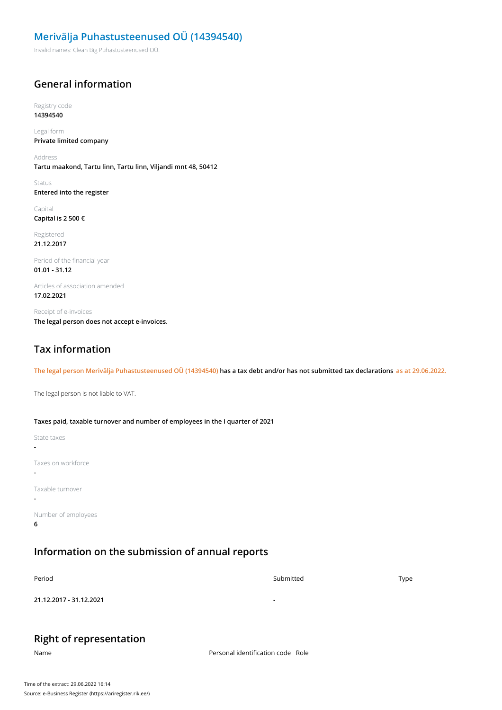### **Merivälja Puhastusteenused OÜ (14394540)**

Invalid names: Clean Big Puhastusteenused OÜ.

### **General information**

Registry code **14394540**

Legal form **Private limited company**

Address **Tartu maakond, Tartu linn, Tartu linn, Viljandi mnt 48, 50412**

Status **Entered into the register**

Capital **Capital is 2 500 €**

Registered **21.12.2017**

Period of the financial year **01.01 - 31.12**

Articles of association amended **17.02.2021**

Receipt of e-invoices **The legal person does not accept e-invoices.**

## **Tax information**

The legal person Merivälja Puhastusteenused OÜ (14394540) has a tax debt and/or has not submitted tax declarations as at 29.06.2022.

The legal person is not liable to VAT.

**Taxes paid, taxable turnover and number of employees in the I quarter of 2021**

State taxes **-** Taxes on workforce **-** Taxable turnover **-** Number of employees **6**

## **Information on the submission of annual reports**

| Period                  | Submitted                | Type |
|-------------------------|--------------------------|------|
| 21.12.2017 - 31.12.2021 | $\overline{\phantom{a}}$ |      |

#### **Right of representation**

Name Personal identification code Role